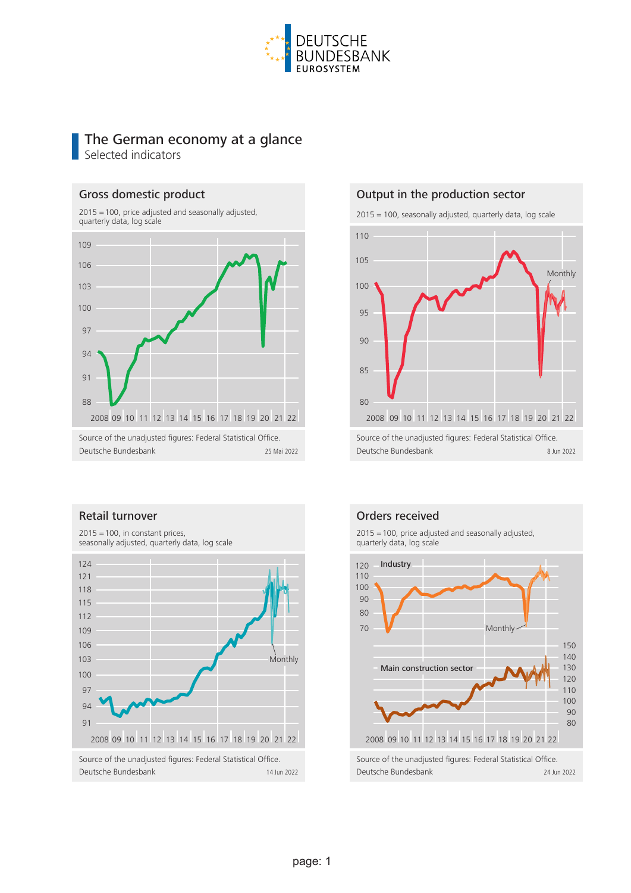

# The German economy at a glance Selected indicators

#### Gross domestic product

2015 = 100, price adjusted and seasonally adjusted, quarterly data, log scale



#### Output in the production sector



#### Retail turnover



Orders received

2015 = 100, price adjusted and seasonally adjusted, quarterly data, log scale

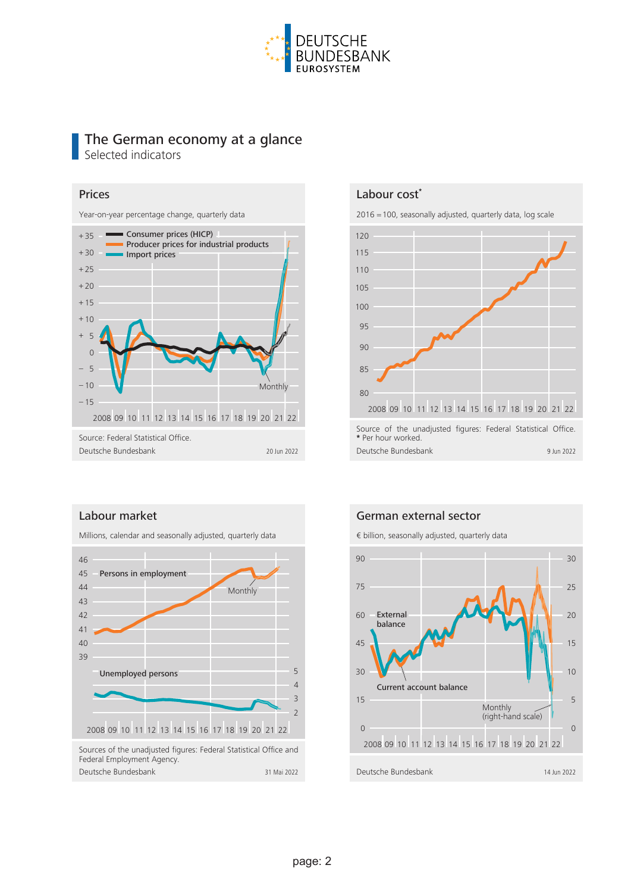

# The German economy at a glance Selected indicators

#### Prices

Year-on-year percentage change, quarterly data



#### Labour cost**\***

2016 = 100, seasonally adjusted, quarterly data, log scale



### Labour market

Millions, calendar and seasonally adjusted, quarterly data



### German external sector

€ billion, seasonally adjusted, quarterly data

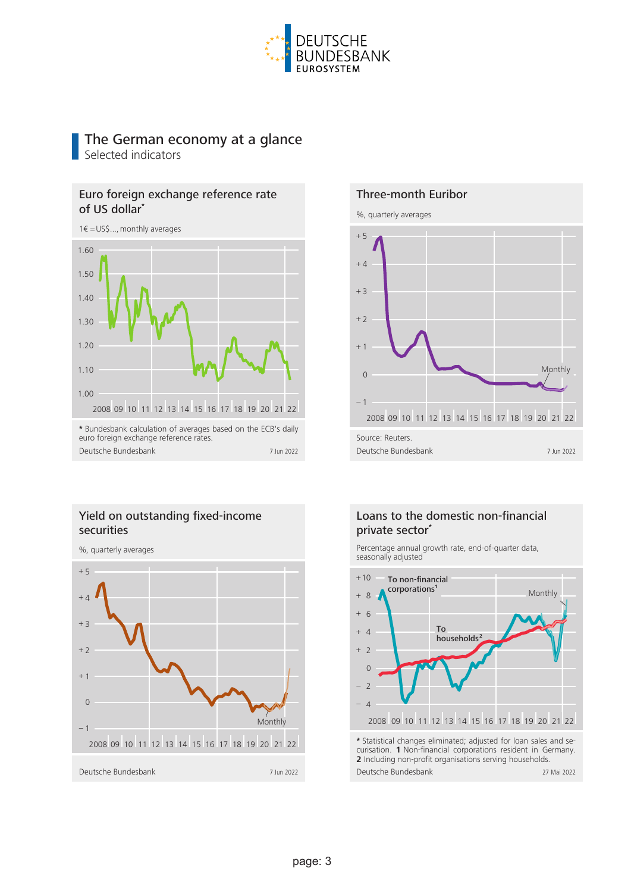

# The German economy at a glance

Selected indicators

# Euro foreign exchange reference rate of US dollar**\***



# Yield on outstanding fixed-income securities





## Loans to the domestic non-financial private sector**\***

Percentage annual growth rate, end-of-quarter data, seasonally adjusted



curisation. **1** Non-financial corporations resident in Germany. **2** Including non-profit organisations serving households. Deutsche Bundesbank 27 Mai 2022